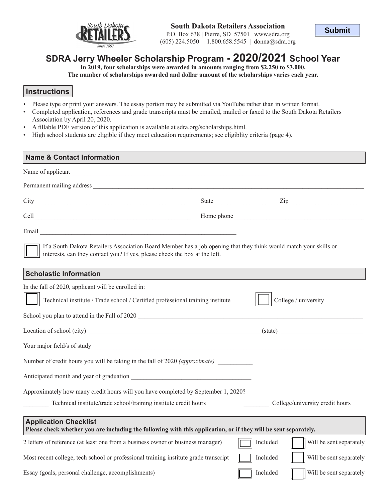

P.O. Box 638 | Pierre, SD 57501 | www.sdra.org (605) 224.5050 | 1.800.658.5545 | donna@sdra.org

# **SDRA Jerry Wheeler Scholarship Program - 2020/2021 School Year**

**In 2019, four scholarships were awarded in amounts ranging from \$2,250 to \$3,000.** 

**The number of scholarships awarded and dollar amount of the scholarships varies each year.**

#### **Instructions**

- Please type or print your answers. The essay portion may be submitted via YouTube rather than in written format.
- Completed application, references and grade transcripts must be emailed, mailed or faxed to the South Dakota Retailers Association by April 20, 2020.
- A fillable PDF version of this application is available at sdra.org/scholarships.html.
- High school students are eligible if they meet education requirements; see eligiblity criteria (page 4).

| <b>Name &amp; Contact Information</b>                                                                                                                                                           |  |          |                                 |  |  |
|-------------------------------------------------------------------------------------------------------------------------------------------------------------------------------------------------|--|----------|---------------------------------|--|--|
|                                                                                                                                                                                                 |  |          |                                 |  |  |
|                                                                                                                                                                                                 |  |          |                                 |  |  |
|                                                                                                                                                                                                 |  |          |                                 |  |  |
|                                                                                                                                                                                                 |  |          |                                 |  |  |
|                                                                                                                                                                                                 |  |          |                                 |  |  |
| If a South Dakota Retailers Association Board Member has a job opening that they think would match your skills or<br>interests, can they contact you? If yes, please check the box at the left. |  |          |                                 |  |  |
| <b>Scholastic Information</b>                                                                                                                                                                   |  |          |                                 |  |  |
| In the fall of 2020, applicant will be enrolled in:                                                                                                                                             |  |          |                                 |  |  |
| Technical institute / Trade school / Certified professional training institute                                                                                                                  |  |          | College / university            |  |  |
| School you plan to attend in the Fall of 2020                                                                                                                                                   |  |          |                                 |  |  |
|                                                                                                                                                                                                 |  |          |                                 |  |  |
|                                                                                                                                                                                                 |  |          |                                 |  |  |
| Number of credit hours you will be taking in the fall of 2020 <i>(approximate)</i>                                                                                                              |  |          |                                 |  |  |
|                                                                                                                                                                                                 |  |          |                                 |  |  |
| Approximately how many credit hours will you have completed by September 1, 2020?                                                                                                               |  |          |                                 |  |  |
| Technical institute/trade school/training institute credit hours                                                                                                                                |  |          | College/university credit hours |  |  |
| <b>Application Checklist</b><br>Please check whether you are including the following with this application, or if they will be sent separately.                                                 |  |          |                                 |  |  |
| 2 letters of reference (at least one from a business owner or business manager)                                                                                                                 |  | Included | Will be sent separately         |  |  |
| Most recent college, tech school or professional training institute grade transcript                                                                                                            |  | Included | Will be sent separately         |  |  |
| Essay (goals, personal challenge, accomplishments)                                                                                                                                              |  | Included | Will be sent separately         |  |  |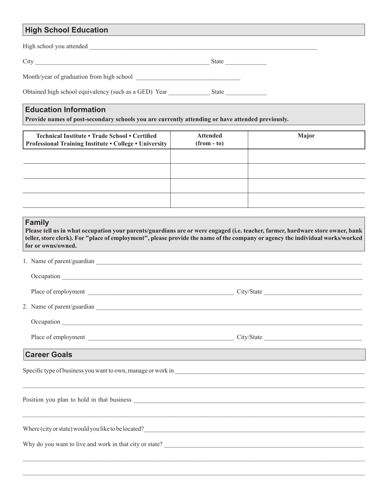# **High School Education**

| High school you attended                              |       |  |  |
|-------------------------------------------------------|-------|--|--|
| City                                                  | State |  |  |
| Month/year of graduation from high school             |       |  |  |
| Obtained high school equivalency (such as a GED) Year | State |  |  |

## **Education Information**

**Provide names of post-secondary schools you are currently attending or have attended previously.**

| Technical Institute • Trade School • Certified<br><b>Professional Training Institute . College . University</b> | <b>Attended</b><br>$(from - to)$ | <b>Major</b> |
|-----------------------------------------------------------------------------------------------------------------|----------------------------------|--------------|
|                                                                                                                 |                                  |              |
|                                                                                                                 |                                  |              |
|                                                                                                                 |                                  |              |
|                                                                                                                 |                                  |              |

| <b>Family</b><br>Please tell us in what occupation your parents/guardians are or were engaged (i.e. teacher, farmer, hardware store owner, bank<br>teller, store clerk). For "place of employment", please provide the name of the company or agency the individual works/worked<br>for or owns/owned. |  |  |  |  |
|--------------------------------------------------------------------------------------------------------------------------------------------------------------------------------------------------------------------------------------------------------------------------------------------------------|--|--|--|--|
|                                                                                                                                                                                                                                                                                                        |  |  |  |  |
|                                                                                                                                                                                                                                                                                                        |  |  |  |  |
|                                                                                                                                                                                                                                                                                                        |  |  |  |  |
|                                                                                                                                                                                                                                                                                                        |  |  |  |  |
|                                                                                                                                                                                                                                                                                                        |  |  |  |  |
|                                                                                                                                                                                                                                                                                                        |  |  |  |  |
| <u> 1989 - Johann Stoff, amerikansk politiker (* 1908)</u><br><b>Career Goals</b>                                                                                                                                                                                                                      |  |  |  |  |
|                                                                                                                                                                                                                                                                                                        |  |  |  |  |
|                                                                                                                                                                                                                                                                                                        |  |  |  |  |
|                                                                                                                                                                                                                                                                                                        |  |  |  |  |
|                                                                                                                                                                                                                                                                                                        |  |  |  |  |
|                                                                                                                                                                                                                                                                                                        |  |  |  |  |
|                                                                                                                                                                                                                                                                                                        |  |  |  |  |
|                                                                                                                                                                                                                                                                                                        |  |  |  |  |

 $\mathcal{L}_\mathcal{L} = \{ \mathcal{L}_\mathcal{L} = \{ \mathcal{L}_\mathcal{L} = \{ \mathcal{L}_\mathcal{L} = \{ \mathcal{L}_\mathcal{L} = \{ \mathcal{L}_\mathcal{L} = \{ \mathcal{L}_\mathcal{L} = \{ \mathcal{L}_\mathcal{L} = \{ \mathcal{L}_\mathcal{L} = \{ \mathcal{L}_\mathcal{L} = \{ \mathcal{L}_\mathcal{L} = \{ \mathcal{L}_\mathcal{L} = \{ \mathcal{L}_\mathcal{L} = \{ \mathcal{L}_\mathcal{L} = \{ \mathcal{L}_\mathcal{$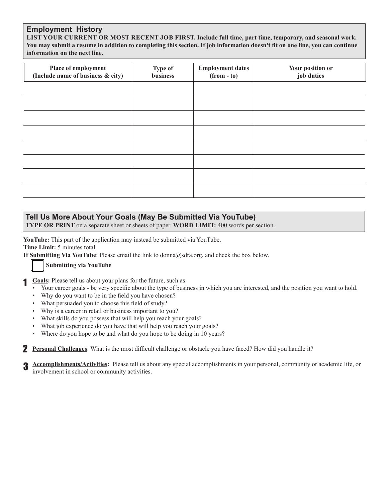#### **Employment History**

**LIST YOUR CURRENT OR MOST RECENT JOB FIRST. Include full time, part time, temporary, and seasonal work. You may submit a resume in addition to completing this section. If job information doesn't fit on one line, you can continue information on the next line.**

| Place of employment<br>(Include name of business & city) | <b>Type of</b><br>business | <b>Employment dates</b><br>$(from - to)$ | Your position or<br>job duties |
|----------------------------------------------------------|----------------------------|------------------------------------------|--------------------------------|
|                                                          |                            |                                          |                                |
|                                                          |                            |                                          |                                |
|                                                          |                            |                                          |                                |
|                                                          |                            |                                          |                                |
|                                                          |                            |                                          |                                |
|                                                          |                            |                                          |                                |
|                                                          |                            |                                          |                                |
|                                                          |                            |                                          |                                |

#### **Tell Us More About Your Goals (May Be Submitted Via YouTube)**

**TYPE OR PRINT** on a separate sheet or sheets of paper. **WORD LIMIT:** 400 words per section.

**YouTube:** This part of the application may instead be submitted via YouTube.

**Time Limit:** 5 minutes total.

**If Submitting Via YouTube**: Please email the link to donna@sdra.org, and check the box below.

#### **Submitting via YouTube**

**Goals:** Please tell us about your plans for the future, such as: 1

- Your career goals be very specific about the type of business in which you are interested, and the position you want to hold.
- Why do you want to be in the field you have chosen?
- What persuaded you to choose this field of study?
- Why is a career in retail or business important to you?
- What skills do you possess that will help you reach your goals?
- What job experience do you have that will help you reach your goals?
- Where do you hope to be and what do you hope to be doing in 10 years?

**Personal Challenges**: What is the most difficult challenge or obstacle you have faced? How did you handle it?

**Accomplishments/Activities:** Please tell us about any special accomplishments in your personal, community or academic life, or involvement in school or community activities. 3